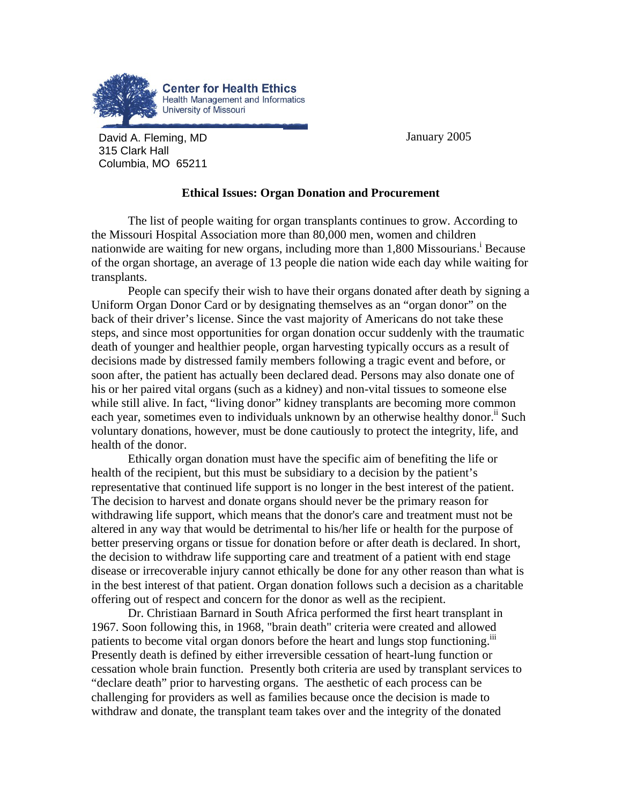

David A. Fleming, MD January 2005 315 Clark Hall Columbia, MO 65211

## **Ethical Issues: Organ Donation and Procurement**

The list of people waiting for organ transplants continues to grow. According to the Missouri Hospital Association more than 80,000 men, women and children nationwideare waiting for new organs, including more than 1,800 Missourians.<sup>1</sup> Because of the organ shortage, an average of 13 people die nation wide each day while waiting for transplants.

People can specify their wish to have their organs donated after death by signing a Uniform Organ Donor Card or by designating themselves as an "organ donor" on the back of their driver's license. Since the vast majority of Americans do not take these steps, and since most opportunities for organ donation occur suddenly with the traumatic death of younger and healthier people, organ harvesting typically occurs as a result of decisions made by distressed family members following a tragic event and before, or soon after, the patient has actually been declared dead. Persons may also donate one of his or her paired vital organs (such as a kidney) and non-vital tissues to someone else while still alive. In fact, "living donor" kidney transplants are becoming more common each year, sometimes even to individuals unknown by an otherwise healthy donor.<sup>ii</sup> Such voluntary donations, however, must be done cautiously to protect the integrity, life, and health of the donor.

Ethically organ donation must have the specific aim of benefiting the life or health of the recipient, but this must be subsidiary to a decision by the patient's representative that continued life support is no longer in the best interest of the patient. The decision to harvest and donate organs should never be the primary reason for withdrawing life support, which means that the donor's care and treatment must not be altered in any way that would be detrimental to his/her life or health for the purpose of better preserving organs or tissue for donation before or after death is declared. In short, the decision to withdraw life supporting care and treatment of a patient with end stage disease or irrecoverable injury cannot ethically be done for any other reason than what is in the best interest of that patient. Organ donation follows such a decision as a charitable offering out of respect and concern for the donor as well as the recipient.

Dr. Christiaan Barnard in South Africa performed the first heart transplant in 1967. Soon following this, in 1968, "brain death" criteria were created and allowed patients to become vital organ donors before the heart and lungs stop functioning.<sup>111</sup> Presently death is defined by either irreversible cessation of heart-lung function or cessation whole brain function. Presently both criteria are used by transplant services to "declare death" prior to harvesting organs. The aesthetic of each process can be challenging for providers as well as families because once the decision is made to withdraw and donate, the transplant team takes over and the integrity of the donated